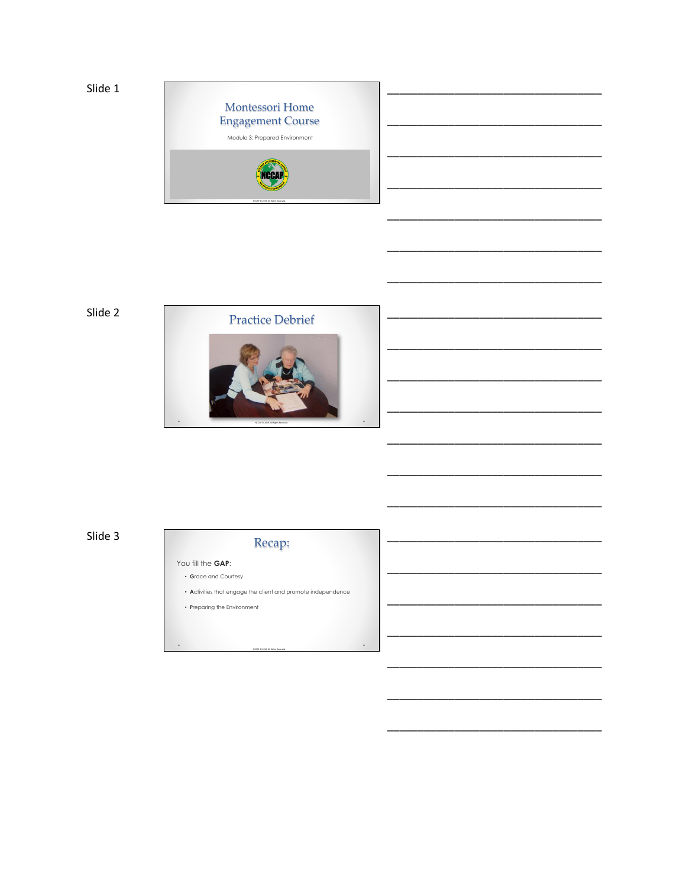

Slide 2



Slide 3

# Recap:

You fill the GAP: • Grace and Courtesy

• Activities that engage the client and promote independence

 $\ddot{\phantom{0}}$ 

 $\cdot$  Preparing the Environment

 $\ddot{\phantom{0}}$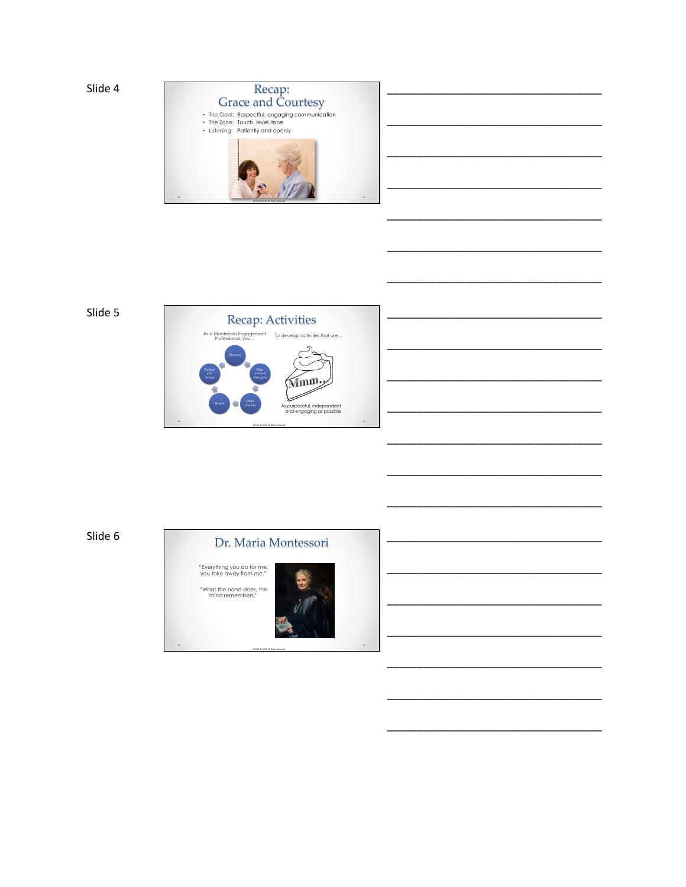

## Slide 5



\_\_\_\_\_\_\_\_\_\_\_\_\_\_\_\_\_\_\_\_\_\_\_\_\_\_\_\_\_\_\_\_\_\_\_ \_\_\_\_\_\_\_\_\_\_\_\_\_\_\_\_\_\_\_\_\_\_\_\_\_\_\_\_\_\_\_\_\_\_\_ \_\_\_\_\_\_\_\_\_\_\_\_\_\_\_\_\_\_\_\_\_\_\_\_\_\_\_\_\_\_\_\_\_\_\_ \_\_\_\_\_\_\_\_\_\_\_\_\_\_\_\_\_\_\_\_\_\_\_\_\_\_\_\_\_\_\_\_\_\_\_

\_\_\_\_\_\_\_\_\_\_\_\_\_\_\_\_\_\_\_\_\_\_\_\_\_\_\_\_\_\_\_\_\_\_\_

\_\_\_\_\_\_\_\_\_\_\_\_\_\_\_\_\_\_\_\_\_\_\_\_\_\_\_\_\_\_\_\_\_\_\_

\_\_\_\_\_\_\_\_\_\_\_\_\_\_\_\_\_\_\_\_\_\_\_\_\_\_\_\_\_\_\_\_\_\_\_

\_\_\_\_\_\_\_\_\_\_\_\_\_\_\_\_\_\_\_\_\_\_\_\_\_\_\_\_\_\_\_\_\_\_\_

\_\_\_\_\_\_\_\_\_\_\_\_\_\_\_\_\_\_\_\_\_\_\_\_\_\_\_\_\_\_\_\_\_\_\_

\_\_\_\_\_\_\_\_\_\_\_\_\_\_\_\_\_\_\_\_\_\_\_\_\_\_\_\_\_\_\_\_\_\_\_

\_\_\_\_\_\_\_\_\_\_\_\_\_\_\_\_\_\_\_\_\_\_\_\_\_\_\_\_\_\_\_\_\_\_\_

\_\_\_\_\_\_\_\_\_\_\_\_\_\_\_\_\_\_\_\_\_\_\_\_\_\_\_\_\_\_\_\_\_\_\_

\_\_\_\_\_\_\_\_\_\_\_\_\_\_\_\_\_\_\_\_\_\_\_\_\_\_\_\_\_\_\_\_\_\_\_

\_\_\_\_\_\_\_\_\_\_\_\_\_\_\_\_\_\_\_\_\_\_\_\_\_\_\_\_\_\_\_\_\_\_\_

\_\_\_\_\_\_\_\_\_\_\_\_\_\_\_\_\_\_\_\_\_\_\_\_\_\_\_\_\_\_\_\_\_\_\_

\_\_\_\_\_\_\_\_\_\_\_\_\_\_\_\_\_\_\_\_\_\_\_\_\_\_\_\_\_\_\_\_\_\_\_

\_\_\_\_\_\_\_\_\_\_\_\_\_\_\_\_\_\_\_\_\_\_\_\_\_\_\_\_\_\_\_\_\_\_\_

\_\_\_\_\_\_\_\_\_\_\_\_\_\_\_\_\_\_\_\_\_\_\_\_\_\_\_\_\_\_\_\_\_\_\_

\_\_\_\_\_\_\_\_\_\_\_\_\_\_\_\_\_\_\_\_\_\_\_\_\_\_\_\_\_\_\_\_\_\_\_

\_\_\_\_\_\_\_\_\_\_\_\_\_\_\_\_\_\_\_\_\_\_\_\_\_\_\_\_\_\_\_\_\_\_\_

\_\_\_\_\_\_\_\_\_\_\_\_\_\_\_\_\_\_\_\_\_\_\_\_\_\_\_\_\_\_\_\_\_\_\_

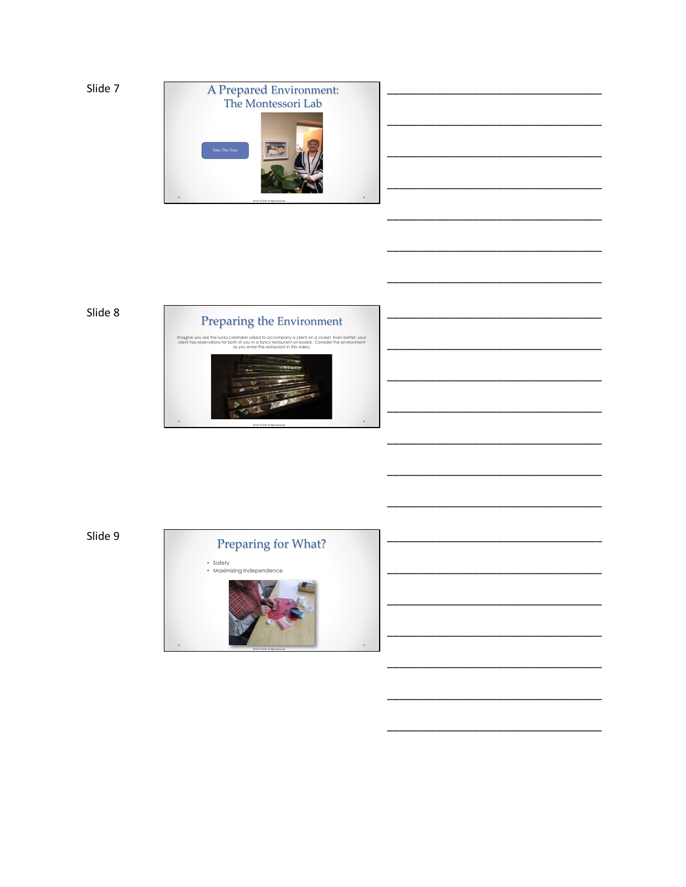

\_\_\_\_\_\_\_\_\_\_\_\_\_\_\_\_\_\_\_\_\_\_\_\_\_\_\_\_\_\_\_\_\_\_\_

\_\_\_\_\_\_\_\_\_\_\_\_\_\_\_\_\_\_\_\_\_\_\_\_\_\_\_\_\_\_\_\_\_\_\_

\_\_\_\_\_\_\_\_\_\_\_\_\_\_\_\_\_\_\_\_\_\_\_\_\_\_\_\_\_\_\_\_\_\_\_

\_\_\_\_\_\_\_\_\_\_\_\_\_\_\_\_\_\_\_\_\_\_\_\_\_\_\_\_\_\_\_\_\_\_\_

\_\_\_\_\_\_\_\_\_\_\_\_\_\_\_\_\_\_\_\_\_\_\_\_\_\_\_\_\_\_\_\_\_\_\_

\_\_\_\_\_\_\_\_\_\_\_\_\_\_\_\_\_\_\_\_\_\_\_\_\_\_\_\_\_\_\_\_\_\_\_

\_\_\_\_\_\_\_\_\_\_\_\_\_\_\_\_\_\_\_\_\_\_\_\_\_\_\_\_\_\_\_\_\_\_\_

\_\_\_\_\_\_\_\_\_\_\_\_\_\_\_\_\_\_\_\_\_\_\_\_\_\_\_\_\_\_\_\_\_\_\_

\_\_\_\_\_\_\_\_\_\_\_\_\_\_\_\_\_\_\_\_\_\_\_\_\_\_\_\_\_\_\_\_\_\_\_

\_\_\_\_\_\_\_\_\_\_\_\_\_\_\_\_\_\_\_\_\_\_\_\_\_\_\_\_\_\_\_\_\_\_\_

\_\_\_\_\_\_\_\_\_\_\_\_\_\_\_\_\_\_\_\_\_\_\_\_\_\_\_\_\_\_\_\_\_\_\_

\_\_\_\_\_\_\_\_\_\_\_\_\_\_\_\_\_\_\_\_\_\_\_\_\_\_\_\_\_\_\_\_\_\_\_

\_\_\_\_\_\_\_\_\_\_\_\_\_\_\_\_\_\_\_\_\_\_\_\_\_\_\_\_\_\_\_\_\_\_\_

\_\_\_\_\_\_\_\_\_\_\_\_\_\_\_\_\_\_\_\_\_\_\_\_\_\_\_\_\_\_\_\_\_\_\_

\_\_\_\_\_\_\_\_\_\_\_\_\_\_\_\_\_\_\_\_\_\_\_\_\_\_\_\_\_\_\_\_\_\_\_

\_\_\_\_\_\_\_\_\_\_\_\_\_\_\_\_\_\_\_\_\_\_\_\_\_\_\_\_\_\_\_\_\_\_\_

\_\_\_\_\_\_\_\_\_\_\_\_\_\_\_\_\_\_\_\_\_\_\_\_\_\_\_\_\_\_\_\_\_\_\_

\_\_\_\_\_\_\_\_\_\_\_\_\_\_\_\_\_\_\_\_\_\_\_\_\_\_\_\_\_\_\_\_\_\_\_

\_\_\_\_\_\_\_\_\_\_\_\_\_\_\_\_\_\_\_\_\_\_\_\_\_\_\_\_\_\_\_\_\_\_\_

\_\_\_\_\_\_\_\_\_\_\_\_\_\_\_\_\_\_\_\_\_\_\_\_\_\_\_\_\_\_\_\_\_\_\_

\_\_\_\_\_\_\_\_\_\_\_\_\_\_\_\_\_\_\_\_\_\_\_\_\_\_\_\_\_\_\_\_\_\_\_

### Slide 8



Slide 9



• Safety • Maximizing Independence

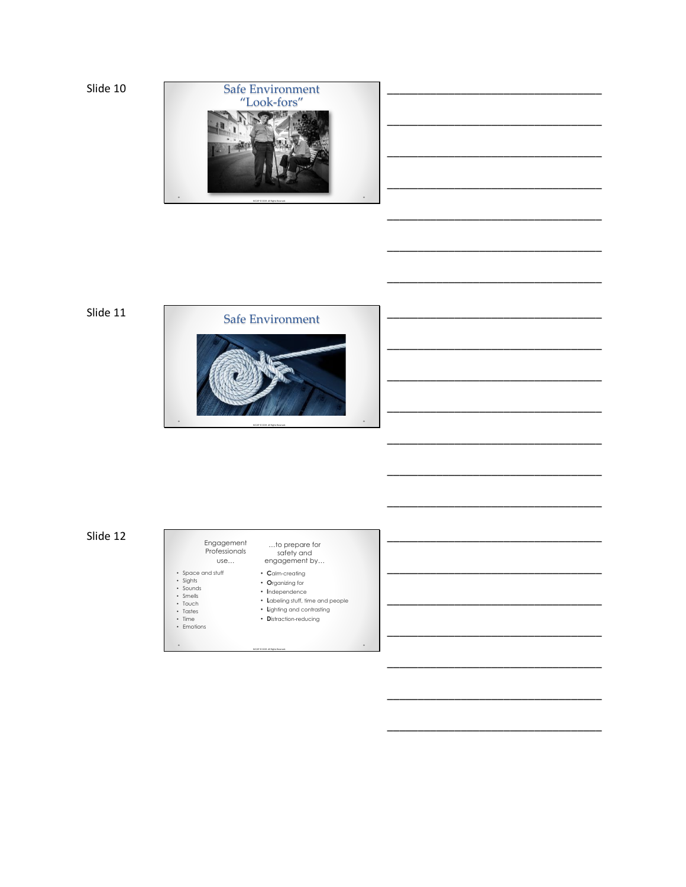

\_\_\_\_\_\_\_\_\_\_\_\_\_\_\_\_\_\_\_\_\_\_\_\_\_\_\_\_\_\_\_\_\_\_\_

\_\_\_\_\_\_\_\_\_\_\_\_\_\_\_\_\_\_\_\_\_\_\_\_\_\_\_\_\_\_\_\_\_\_\_

\_\_\_\_\_\_\_\_\_\_\_\_\_\_\_\_\_\_\_\_\_\_\_\_\_\_\_\_\_\_\_\_\_\_\_

\_\_\_\_\_\_\_\_\_\_\_\_\_\_\_\_\_\_\_\_\_\_\_\_\_\_\_\_\_\_\_\_\_\_\_

\_\_\_\_\_\_\_\_\_\_\_\_\_\_\_\_\_\_\_\_\_\_\_\_\_\_\_\_\_\_\_\_\_\_\_

\_\_\_\_\_\_\_\_\_\_\_\_\_\_\_\_\_\_\_\_\_\_\_\_\_\_\_\_\_\_\_\_\_\_\_

\_\_\_\_\_\_\_\_\_\_\_\_\_\_\_\_\_\_\_\_\_\_\_\_\_\_\_\_\_\_\_\_\_\_\_

\_\_\_\_\_\_\_\_\_\_\_\_\_\_\_\_\_\_\_\_\_\_\_\_\_\_\_\_\_\_\_\_\_\_\_

\_\_\_\_\_\_\_\_\_\_\_\_\_\_\_\_\_\_\_\_\_\_\_\_\_\_\_\_\_\_\_\_\_\_\_

\_\_\_\_\_\_\_\_\_\_\_\_\_\_\_\_\_\_\_\_\_\_\_\_\_\_\_\_\_\_\_\_\_\_\_

\_\_\_\_\_\_\_\_\_\_\_\_\_\_\_\_\_\_\_\_\_\_\_\_\_\_\_\_\_\_\_\_\_\_\_

\_\_\_\_\_\_\_\_\_\_\_\_\_\_\_\_\_\_\_\_\_\_\_\_\_\_\_\_\_\_\_\_\_\_\_

\_\_\_\_\_\_\_\_\_\_\_\_\_\_\_\_\_\_\_\_\_\_\_\_\_\_\_\_\_\_\_\_\_\_\_

\_\_\_\_\_\_\_\_\_\_\_\_\_\_\_\_\_\_\_\_\_\_\_\_\_\_\_\_\_\_\_\_\_\_\_

\_\_\_\_\_\_\_\_\_\_\_\_\_\_\_\_\_\_\_\_\_\_\_\_\_\_\_\_\_\_\_\_\_\_\_

\_\_\_\_\_\_\_\_\_\_\_\_\_\_\_\_\_\_\_\_\_\_\_\_\_\_\_\_\_\_\_\_\_\_\_

\_\_\_\_\_\_\_\_\_\_\_\_\_\_\_\_\_\_\_\_\_\_\_\_\_\_\_\_\_\_\_\_\_\_\_

\_\_\_\_\_\_\_\_\_\_\_\_\_\_\_\_\_\_\_\_\_\_\_\_\_\_\_\_\_\_\_\_\_\_\_

\_\_\_\_\_\_\_\_\_\_\_\_\_\_\_\_\_\_\_\_\_\_\_\_\_\_\_\_\_\_\_\_\_\_\_

\_\_\_\_\_\_\_\_\_\_\_\_\_\_\_\_\_\_\_\_\_\_\_\_\_\_\_\_\_\_\_\_\_\_\_

\_\_\_\_\_\_\_\_\_\_\_\_\_\_\_\_\_\_\_\_\_\_\_\_\_\_\_\_\_\_\_\_\_\_\_

Slide 11



#### Slide 12 Engagement<br>
Professionals use… …to prepare for safety and engagement by… • Space and stuff<br>• Sights<br>• Sounds<br>• Touch<br>• Tastes<br>• Time<br>• Emotions • **C**alm-creating • **O**rganizing for • **I**ndependence • **L**abeling stuff, time and people

- **L**ighting and contrasting • **D**istraction-reducing
- 
- 

.

NCCAP © 2019. All Rights Reserved.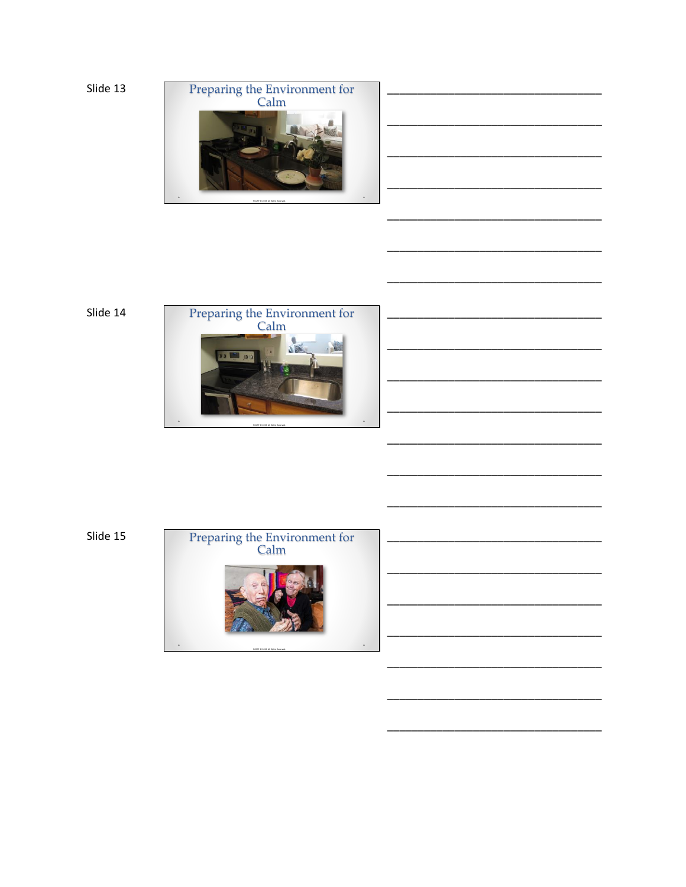



Slide 14



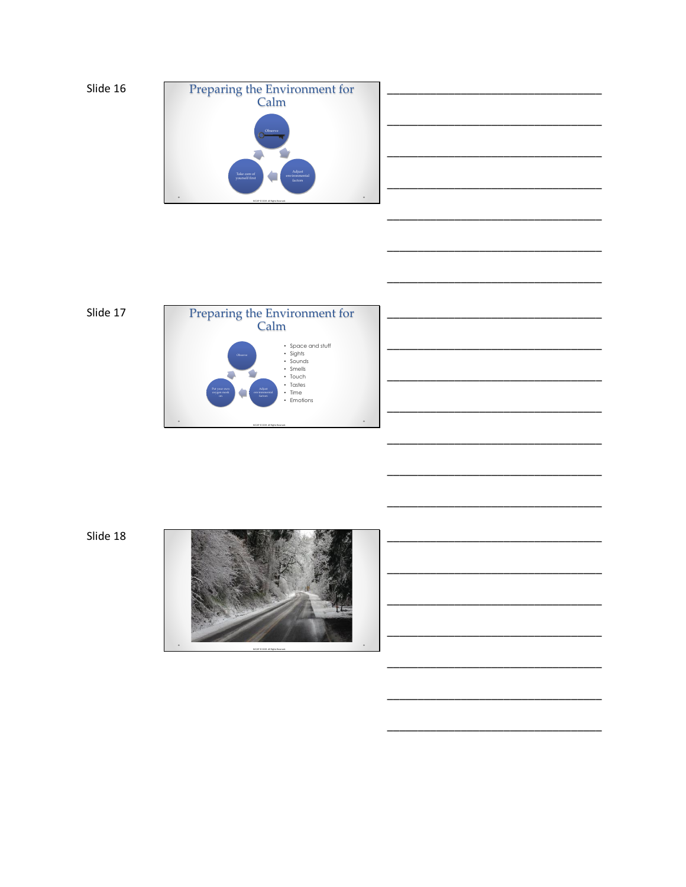



\_\_\_\_\_\_\_\_\_\_\_\_\_\_\_\_\_\_\_\_\_\_\_\_\_\_\_\_\_\_\_\_\_\_\_

\_\_\_\_\_\_\_\_\_\_\_\_\_\_\_\_\_\_\_\_\_\_\_\_\_\_\_\_\_\_\_\_\_\_\_

\_\_\_\_\_\_\_\_\_\_\_\_\_\_\_\_\_\_\_\_\_\_\_\_\_\_\_\_\_\_\_\_\_\_\_

\_\_\_\_\_\_\_\_\_\_\_\_\_\_\_\_\_\_\_\_\_\_\_\_\_\_\_\_\_\_\_\_\_\_\_

\_\_\_\_\_\_\_\_\_\_\_\_\_\_\_\_\_\_\_\_\_\_\_\_\_\_\_\_\_\_\_\_\_\_\_

\_\_\_\_\_\_\_\_\_\_\_\_\_\_\_\_\_\_\_\_\_\_\_\_\_\_\_\_\_\_\_\_\_\_\_

\_\_\_\_\_\_\_\_\_\_\_\_\_\_\_\_\_\_\_\_\_\_\_\_\_\_\_\_\_\_\_\_\_\_\_

\_\_\_\_\_\_\_\_\_\_\_\_\_\_\_\_\_\_\_\_\_\_\_\_\_\_\_\_\_\_\_\_\_\_\_

\_\_\_\_\_\_\_\_\_\_\_\_\_\_\_\_\_\_\_\_\_\_\_\_\_\_\_\_\_\_\_\_\_\_\_

\_\_\_\_\_\_\_\_\_\_\_\_\_\_\_\_\_\_\_\_\_\_\_\_\_\_\_\_\_\_\_\_\_\_\_

\_\_\_\_\_\_\_\_\_\_\_\_\_\_\_\_\_\_\_\_\_\_\_\_\_\_\_\_\_\_\_\_\_\_\_

\_\_\_\_\_\_\_\_\_\_\_\_\_\_\_\_\_\_\_\_\_\_\_\_\_\_\_\_\_\_\_\_\_\_\_

\_\_\_\_\_\_\_\_\_\_\_\_\_\_\_\_\_\_\_\_\_\_\_\_\_\_\_\_\_\_\_\_\_\_\_

\_\_\_\_\_\_\_\_\_\_\_\_\_\_\_\_\_\_\_\_\_\_\_\_\_\_\_\_\_\_\_\_\_\_\_

\_\_\_\_\_\_\_\_\_\_\_\_\_\_\_\_\_\_\_\_\_\_\_\_\_\_\_\_\_\_\_\_\_\_\_

\_\_\_\_\_\_\_\_\_\_\_\_\_\_\_\_\_\_\_\_\_\_\_\_\_\_\_\_\_\_\_\_\_\_\_





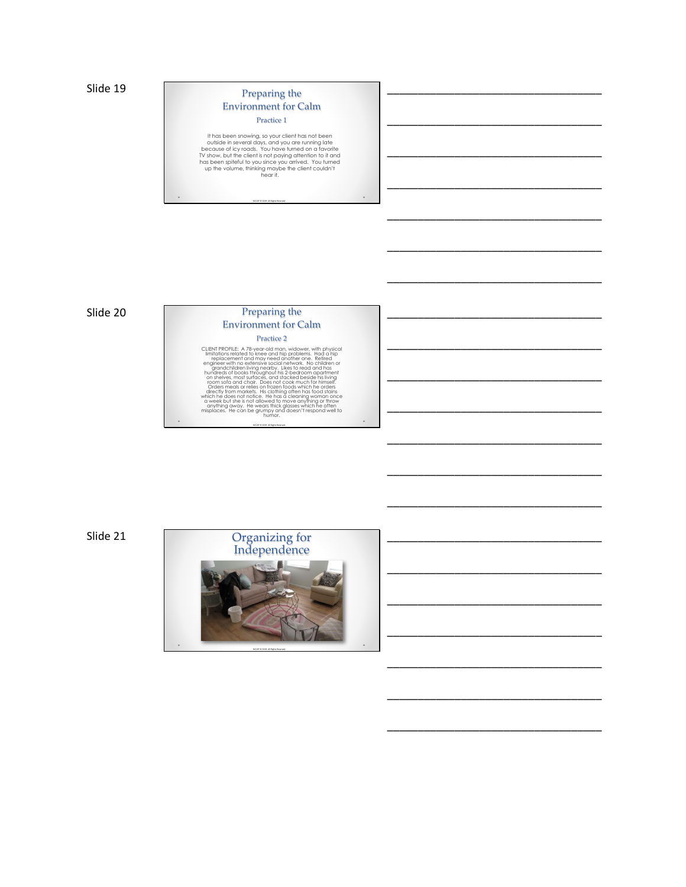## Preparing the Environment for Calm

Practice 1

\_\_\_\_\_\_\_\_\_\_\_\_\_\_\_\_\_\_\_\_\_\_\_\_\_\_\_\_\_\_\_\_\_\_\_

\_\_\_\_\_\_\_\_\_\_\_\_\_\_\_\_\_\_\_\_\_\_\_\_\_\_\_\_\_\_\_\_\_\_\_

\_\_\_\_\_\_\_\_\_\_\_\_\_\_\_\_\_\_\_\_\_\_\_\_\_\_\_\_\_\_\_\_\_\_\_

\_\_\_\_\_\_\_\_\_\_\_\_\_\_\_\_\_\_\_\_\_\_\_\_\_\_\_\_\_\_\_\_\_\_\_

\_\_\_\_\_\_\_\_\_\_\_\_\_\_\_\_\_\_\_\_\_\_\_\_\_\_\_\_\_\_\_\_\_\_\_

\_\_\_\_\_\_\_\_\_\_\_\_\_\_\_\_\_\_\_\_\_\_\_\_\_\_\_\_\_\_\_\_\_\_\_

\_\_\_\_\_\_\_\_\_\_\_\_\_\_\_\_\_\_\_\_\_\_\_\_\_\_\_\_\_\_\_\_\_\_\_

\_\_\_\_\_\_\_\_\_\_\_\_\_\_\_\_\_\_\_\_\_\_\_\_\_\_\_\_\_\_\_\_\_\_\_

\_\_\_\_\_\_\_\_\_\_\_\_\_\_\_\_\_\_\_\_\_\_\_\_\_\_\_\_\_\_\_\_\_\_\_

\_\_\_\_\_\_\_\_\_\_\_\_\_\_\_\_\_\_\_\_\_\_\_\_\_\_\_\_\_\_\_\_\_\_\_

\_\_\_\_\_\_\_\_\_\_\_\_\_\_\_\_\_\_\_\_\_\_\_\_\_\_\_\_\_\_\_\_\_\_\_

\_\_\_\_\_\_\_\_\_\_\_\_\_\_\_\_\_\_\_\_\_\_\_\_\_\_\_\_\_\_\_\_\_\_\_

\_\_\_\_\_\_\_\_\_\_\_\_\_\_\_\_\_\_\_\_\_\_\_\_\_\_\_\_\_\_\_\_\_\_\_

\_\_\_\_\_\_\_\_\_\_\_\_\_\_\_\_\_\_\_\_\_\_\_\_\_\_\_\_\_\_\_\_\_\_\_

\_\_\_\_\_\_\_\_\_\_\_\_\_\_\_\_\_\_\_\_\_\_\_\_\_\_\_\_\_\_\_\_\_\_\_

\_\_\_\_\_\_\_\_\_\_\_\_\_\_\_\_\_\_\_\_\_\_\_\_\_\_\_\_\_\_\_\_\_\_\_

\_\_\_\_\_\_\_\_\_\_\_\_\_\_\_\_\_\_\_\_\_\_\_\_\_\_\_\_\_\_\_\_\_\_\_

\_\_\_\_\_\_\_\_\_\_\_\_\_\_\_\_\_\_\_\_\_\_\_\_\_\_\_\_\_\_\_\_\_\_\_

\_\_\_\_\_\_\_\_\_\_\_\_\_\_\_\_\_\_\_\_\_\_\_\_\_\_\_\_\_\_\_\_\_\_\_

\_\_\_\_\_\_\_\_\_\_\_\_\_\_\_\_\_\_\_\_\_\_\_\_\_\_\_\_\_\_\_\_\_\_\_

\_\_\_\_\_\_\_\_\_\_\_\_\_\_\_\_\_\_\_\_\_\_\_\_\_\_\_\_\_\_\_\_\_\_\_

If has been snowing, so your client has not been<br>outside in several days, and you are running late<br>because of icy roads. You have turned on a favorite<br>DV show, but the client is not paying afterhion to it and<br>has been spit

NCCAP © 2019. All Rights Reserved.

 $\ddot{\phantom{0}}$ 

#### Slide 20

# Preparing the Environment for Calm Practice 2 CLIENT PROFILE: A 78-year-old man, widower, with physical<br>limitations related to knee and hip problems. Had a hip<br>replacement and may need another one. Retired<br>engineer with no extensive social relevors. No children or<br>eng

room sofa and chair. Does not cook much for himself.<br>Orders meals or relies on frozen foods which he orders<br>directly from markets. His clothing often has foods stains<br>which he does not notice. He has a cleaning woman once<br>

NCCAP © 2019. All Rights Reserved.

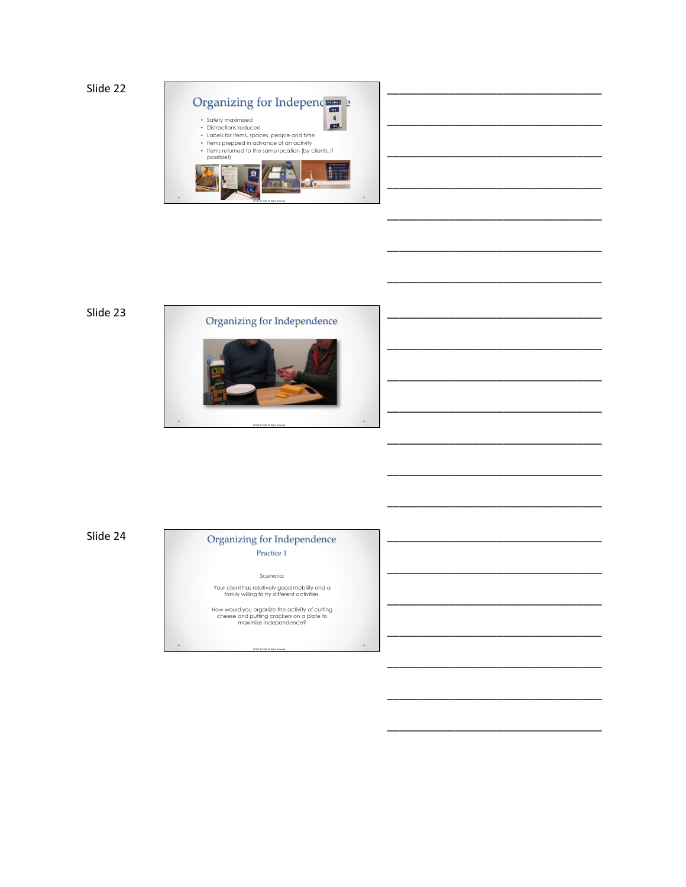

\_\_\_\_\_\_\_\_\_\_\_\_\_\_\_\_\_\_\_\_\_\_\_\_\_\_\_\_\_\_\_\_\_\_\_

\_\_\_\_\_\_\_\_\_\_\_\_\_\_\_\_\_\_\_\_\_\_\_\_\_\_\_\_\_\_\_\_\_\_\_

\_\_\_\_\_\_\_\_\_\_\_\_\_\_\_\_\_\_\_\_\_\_\_\_\_\_\_\_\_\_\_\_\_\_\_

\_\_\_\_\_\_\_\_\_\_\_\_\_\_\_\_\_\_\_\_\_\_\_\_\_\_\_\_\_\_\_\_\_\_\_

\_\_\_\_\_\_\_\_\_\_\_\_\_\_\_\_\_\_\_\_\_\_\_\_\_\_\_\_\_\_\_\_\_\_\_

\_\_\_\_\_\_\_\_\_\_\_\_\_\_\_\_\_\_\_\_\_\_\_\_\_\_\_\_\_\_\_\_\_\_\_

\_\_\_\_\_\_\_\_\_\_\_\_\_\_\_\_\_\_\_\_\_\_\_\_\_\_\_\_\_\_\_\_\_\_\_

\_\_\_\_\_\_\_\_\_\_\_\_\_\_\_\_\_\_\_\_\_\_\_\_\_\_\_\_\_\_\_\_\_\_\_

\_\_\_\_\_\_\_\_\_\_\_\_\_\_\_\_\_\_\_\_\_\_\_\_\_\_\_\_\_\_\_\_\_\_\_

\_\_\_\_\_\_\_\_\_\_\_\_\_\_\_\_\_\_\_\_\_\_\_\_\_\_\_\_\_\_\_\_\_\_\_

\_\_\_\_\_\_\_\_\_\_\_\_\_\_\_\_\_\_\_\_\_\_\_\_\_\_\_\_\_\_\_\_\_\_\_

\_\_\_\_\_\_\_\_\_\_\_\_\_\_\_\_\_\_\_\_\_\_\_\_\_\_\_\_\_\_\_\_\_\_\_

\_\_\_\_\_\_\_\_\_\_\_\_\_\_\_\_\_\_\_\_\_\_\_\_\_\_\_\_\_\_\_\_\_\_\_

\_\_\_\_\_\_\_\_\_\_\_\_\_\_\_\_\_\_\_\_\_\_\_\_\_\_\_\_\_\_\_\_\_\_\_

\_\_\_\_\_\_\_\_\_\_\_\_\_\_\_\_\_\_\_\_\_\_\_\_\_\_\_\_\_\_\_\_\_\_\_

\_\_\_\_\_\_\_\_\_\_\_\_\_\_\_\_\_\_\_\_\_\_\_\_\_\_\_\_\_\_\_\_\_\_\_

\_\_\_\_\_\_\_\_\_\_\_\_\_\_\_\_\_\_\_\_\_\_\_\_\_\_\_\_\_\_\_\_\_\_\_

\_\_\_\_\_\_\_\_\_\_\_\_\_\_\_\_\_\_\_\_\_\_\_\_\_\_\_\_\_\_\_\_\_\_\_

\_\_\_\_\_\_\_\_\_\_\_\_\_\_\_\_\_\_\_\_\_\_\_\_\_\_\_\_\_\_\_\_\_\_\_

\_\_\_\_\_\_\_\_\_\_\_\_\_\_\_\_\_\_\_\_\_\_\_\_\_\_\_\_\_\_\_\_\_\_\_

\_\_\_\_\_\_\_\_\_\_\_\_\_\_\_\_\_\_\_\_\_\_\_\_\_\_\_\_\_\_\_\_\_\_\_





Slide 24

### Organizing for Independence Practice 1

Scenario: Your client has relatively good mobility and a family willing to try different activities.

How would you organize the activity of cutting cheese and putting crackers on a plate to maximize independence?

NCCAP © 2019. All Rights Reserved.

 $\ddot{\phantom{0}}$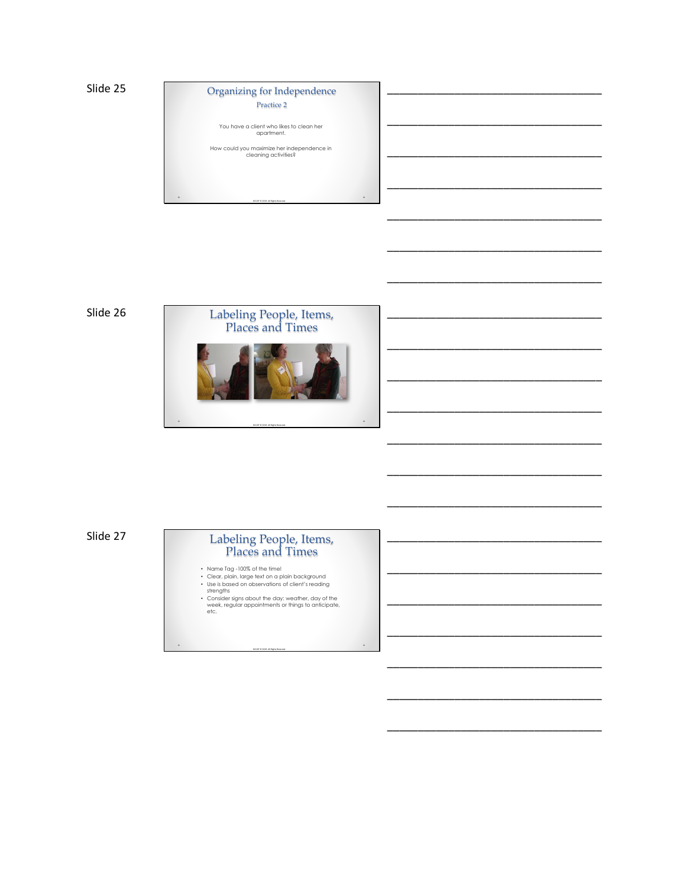# Organizing for Independence

\_\_\_\_\_\_\_\_\_\_\_\_\_\_\_\_\_\_\_\_\_\_\_\_\_\_\_\_\_\_\_\_\_\_\_

\_\_\_\_\_\_\_\_\_\_\_\_\_\_\_\_\_\_\_\_\_\_\_\_\_\_\_\_\_\_\_\_\_\_\_

\_\_\_\_\_\_\_\_\_\_\_\_\_\_\_\_\_\_\_\_\_\_\_\_\_\_\_\_\_\_\_\_\_\_\_

\_\_\_\_\_\_\_\_\_\_\_\_\_\_\_\_\_\_\_\_\_\_\_\_\_\_\_\_\_\_\_\_\_\_\_

\_\_\_\_\_\_\_\_\_\_\_\_\_\_\_\_\_\_\_\_\_\_\_\_\_\_\_\_\_\_\_\_\_\_\_

\_\_\_\_\_\_\_\_\_\_\_\_\_\_\_\_\_\_\_\_\_\_\_\_\_\_\_\_\_\_\_\_\_\_\_

\_\_\_\_\_\_\_\_\_\_\_\_\_\_\_\_\_\_\_\_\_\_\_\_\_\_\_\_\_\_\_\_\_\_\_

\_\_\_\_\_\_\_\_\_\_\_\_\_\_\_\_\_\_\_\_\_\_\_\_\_\_\_\_\_\_\_\_\_\_\_

\_\_\_\_\_\_\_\_\_\_\_\_\_\_\_\_\_\_\_\_\_\_\_\_\_\_\_\_\_\_\_\_\_\_\_

\_\_\_\_\_\_\_\_\_\_\_\_\_\_\_\_\_\_\_\_\_\_\_\_\_\_\_\_\_\_\_\_\_\_\_

\_\_\_\_\_\_\_\_\_\_\_\_\_\_\_\_\_\_\_\_\_\_\_\_\_\_\_\_\_\_\_\_\_\_\_

\_\_\_\_\_\_\_\_\_\_\_\_\_\_\_\_\_\_\_\_\_\_\_\_\_\_\_\_\_\_\_\_\_\_\_

\_\_\_\_\_\_\_\_\_\_\_\_\_\_\_\_\_\_\_\_\_\_\_\_\_\_\_\_\_\_\_\_\_\_\_

\_\_\_\_\_\_\_\_\_\_\_\_\_\_\_\_\_\_\_\_\_\_\_\_\_\_\_\_\_\_\_\_\_\_\_

\_\_\_\_\_\_\_\_\_\_\_\_\_\_\_\_\_\_\_\_\_\_\_\_\_\_\_\_\_\_\_\_\_\_\_

\_\_\_\_\_\_\_\_\_\_\_\_\_\_\_\_\_\_\_\_\_\_\_\_\_\_\_\_\_\_\_\_\_\_\_

\_\_\_\_\_\_\_\_\_\_\_\_\_\_\_\_\_\_\_\_\_\_\_\_\_\_\_\_\_\_\_\_\_\_\_

\_\_\_\_\_\_\_\_\_\_\_\_\_\_\_\_\_\_\_\_\_\_\_\_\_\_\_\_\_\_\_\_\_\_\_

\_\_\_\_\_\_\_\_\_\_\_\_\_\_\_\_\_\_\_\_\_\_\_\_\_\_\_\_\_\_\_\_\_\_\_

\_\_\_\_\_\_\_\_\_\_\_\_\_\_\_\_\_\_\_\_\_\_\_\_\_\_\_\_\_\_\_\_\_\_\_

\_\_\_\_\_\_\_\_\_\_\_\_\_\_\_\_\_\_\_\_\_\_\_\_\_\_\_\_\_\_\_\_\_\_\_

Practice 2

You have a client who likes to clean her apartment.

How could you maximize her independence in cleaning activities?

NCCAP © 2019. All Rights Reserved.

Slide 26



Slide 27

## Labeling People, Items, Places and Times

- 
- 
- 
- Name Tag 100% of the time!<br>• Clear, plain, large text on a plain background<br>• Use is based on observations of client's reading<br>• strengths<br>• Consider signs about the day: weather, day of the<br>• week, regular appointment

NCCAP © 2019. All Rights Reserved.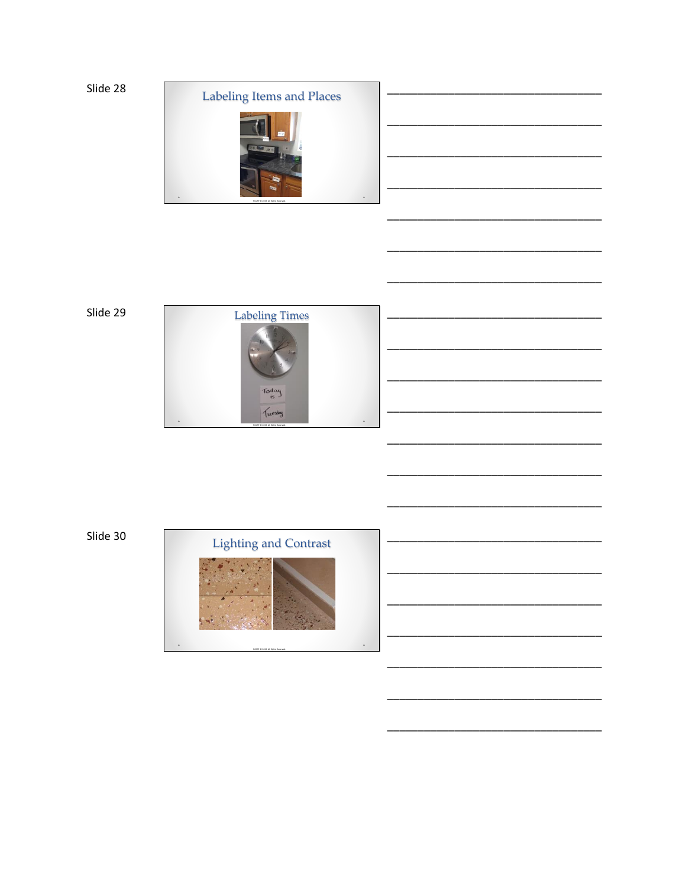





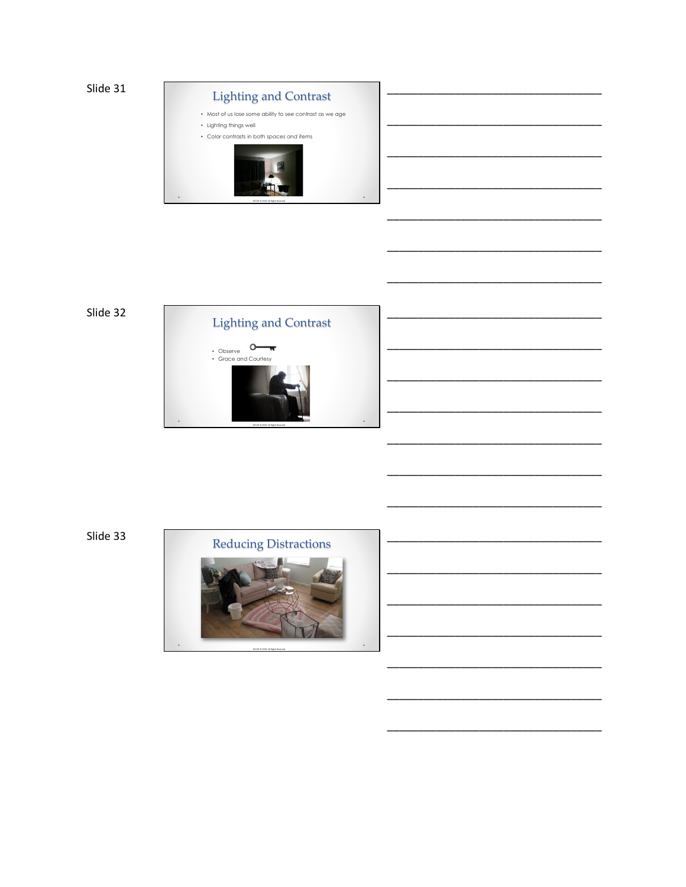

# Slide 32



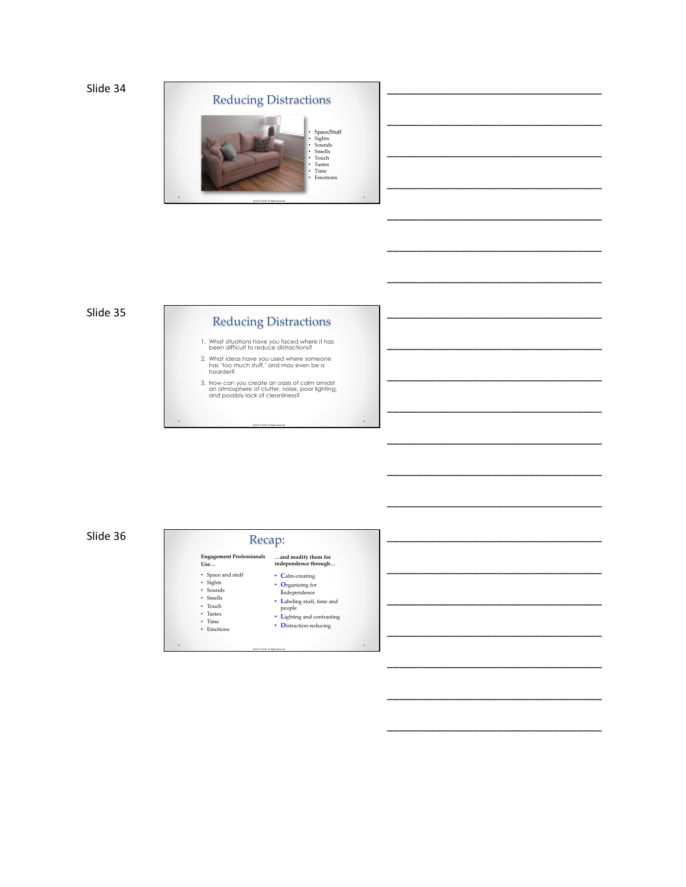

### Slide 35

# Reducing Distractions

1. What situations have you faced where it has been difficult to reduce distractions?

2. What ideas have you used where someone has 'too much stuff,' and may even be a hoarder?

3. How can you create an oasis of calm amidst an atmosphere of clutter, noise, poor lighting, and possibly lack of cleanliness?

NCCAP © 2019. All Rights Reserved.

.

Slide 36





\_\_\_\_\_\_\_\_\_\_\_\_\_\_\_\_\_\_\_\_\_\_\_\_\_\_\_\_\_\_\_\_\_\_\_

\_\_\_\_\_\_\_\_\_\_\_\_\_\_\_\_\_\_\_\_\_\_\_\_\_\_\_\_\_\_\_\_\_\_\_

\_\_\_\_\_\_\_\_\_\_\_\_\_\_\_\_\_\_\_\_\_\_\_\_\_\_\_\_\_\_\_\_\_\_\_

\_\_\_\_\_\_\_\_\_\_\_\_\_\_\_\_\_\_\_\_\_\_\_\_\_\_\_\_\_\_\_\_\_\_\_

\_\_\_\_\_\_\_\_\_\_\_\_\_\_\_\_\_\_\_\_\_\_\_\_\_\_\_\_\_\_\_\_\_\_\_

\_\_\_\_\_\_\_\_\_\_\_\_\_\_\_\_\_\_\_\_\_\_\_\_\_\_\_\_\_\_\_\_\_\_\_

\_\_\_\_\_\_\_\_\_\_\_\_\_\_\_\_\_\_\_\_\_\_\_\_\_\_\_\_\_\_\_\_\_\_\_

\_\_\_\_\_\_\_\_\_\_\_\_\_\_\_\_\_\_\_\_\_\_\_\_\_\_\_\_\_\_\_\_\_\_\_

\_\_\_\_\_\_\_\_\_\_\_\_\_\_\_\_\_\_\_\_\_\_\_\_\_\_\_\_\_\_\_\_\_\_\_

\_\_\_\_\_\_\_\_\_\_\_\_\_\_\_\_\_\_\_\_\_\_\_\_\_\_\_\_\_\_\_\_\_\_\_

\_\_\_\_\_\_\_\_\_\_\_\_\_\_\_\_\_\_\_\_\_\_\_\_\_\_\_\_\_\_\_\_\_\_\_

\_\_\_\_\_\_\_\_\_\_\_\_\_\_\_\_\_\_\_\_\_\_\_\_\_\_\_\_\_\_\_\_\_\_\_

\_\_\_\_\_\_\_\_\_\_\_\_\_\_\_\_\_\_\_\_\_\_\_\_\_\_\_\_\_\_\_\_\_\_\_

\_\_\_\_\_\_\_\_\_\_\_\_\_\_\_\_\_\_\_\_\_\_\_\_\_\_\_\_\_\_\_\_\_\_\_

\_\_\_\_\_\_\_\_\_\_\_\_\_\_\_\_\_\_\_\_\_\_\_\_\_\_\_\_\_\_\_\_\_\_\_

\_\_\_\_\_\_\_\_\_\_\_\_\_\_\_\_\_\_\_\_\_\_\_\_\_\_\_\_\_\_\_\_\_\_\_

\_\_\_\_\_\_\_\_\_\_\_\_\_\_\_\_\_\_\_\_\_\_\_\_\_\_\_\_\_\_\_\_\_\_\_